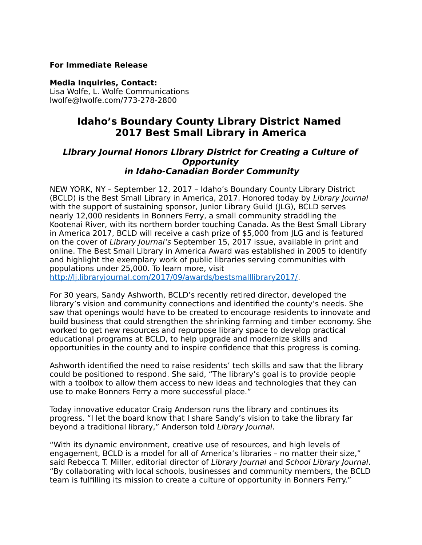# **For Immediate Release**

#### **Media Inquiries, Contact:**

Lisa Wolfe, L. Wolfe Communications lwolfe@lwolfe.com/773-278-2800

# **Idaho's Boundary County Library District Named 2017 Best Small Library in America**

# **Library Journal Honors Library District for Creating a Culture of Opportunity in Idaho-Canadian Border Community**

NEW YORK, NY – September 12, 2017 – Idaho's Boundary County Library District (BCLD) is the Best Small Library in America, 2017. Honored today by Library Journal with the support of sustaining sponsor, Junior Library Guild (JLG), BCLD serves nearly 12,000 residents in Bonners Ferry, a small community straddling the Kootenai River, with its northern border touching Canada. As the Best Small Library in America 2017, BCLD will receive a cash prize of \$5,000 from JLG and is featured on the cover of Library Journal's September 15, 2017 issue, available in print and online. The Best Small Library in America Award was established in 2005 to identify and highlight the exemplary work of public libraries serving communities with populations under 25,000. To learn more, visit [http://lj.libraryjournal.com/2017/09/awards/bestsmalllibrary2017/.](http://lj.libraryjournal.com/2017/09/awards/bestsmalllibrary2017/)

For 30 years, Sandy Ashworth, BCLD's recently retired director, developed the library's vision and community connections and identified the county's needs. She saw that openings would have to be created to encourage residents to innovate and build business that could strengthen the shrinking farming and timber economy. She worked to get new resources and repurpose library space to develop practical educational programs at BCLD, to help upgrade and modernize skills and opportunities in the county and to inspire confidence that this progress is coming.

Ashworth identified the need to raise residents' tech skills and saw that the library could be positioned to respond. She said, "The library's goal is to provide people with a toolbox to allow them access to new ideas and technologies that they can use to make Bonners Ferry a more successful place."

Today innovative educator Craig Anderson runs the library and continues its progress. "I let the board know that I share Sandy's vision to take the library far beyond a traditional library," Anderson told Library Journal.

"With its dynamic environment, creative use of resources, and high levels of engagement, BCLD is a model for all of America's libraries – no matter their size," said Rebecca T. Miller, editorial director of Library Journal and School Library Journal. "By collaborating with local schools, businesses and community members, the BCLD team is fulfilling its mission to create a culture of opportunity in Bonners Ferry."